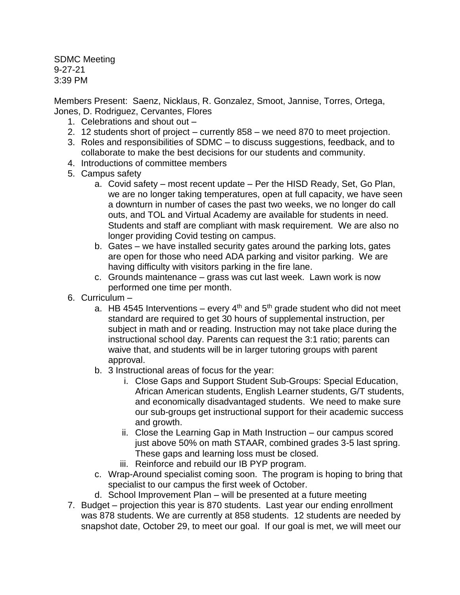SDMC Meeting 9-27-21 3:39 PM

Members Present: Saenz, Nicklaus, R. Gonzalez, Smoot, Jannise, Torres, Ortega, Jones, D. Rodriguez, Cervantes, Flores

- 1. Celebrations and shout out –
- 2. 12 students short of project currently 858 we need 870 to meet projection.
- 3. Roles and responsibilities of SDMC to discuss suggestions, feedback, and to collaborate to make the best decisions for our students and community.
- 4. Introductions of committee members
- 5. Campus safety
	- a. Covid safety most recent update Per the HISD Ready, Set, Go Plan, we are no longer taking temperatures, open at full capacity, we have seen a downturn in number of cases the past two weeks, we no longer do call outs, and TOL and Virtual Academy are available for students in need. Students and staff are compliant with mask requirement. We are also no longer providing Covid testing on campus.
	- b. Gates we have installed security gates around the parking lots, gates are open for those who need ADA parking and visitor parking. We are having difficulty with visitors parking in the fire lane.
	- c. Grounds maintenance grass was cut last week. Lawn work is now performed one time per month.
- 6. Curriculum
	- a. HB 4545 Interventions every  $4<sup>th</sup>$  and  $5<sup>th</sup>$  grade student who did not meet standard are required to get 30 hours of supplemental instruction, per subject in math and or reading. Instruction may not take place during the instructional school day. Parents can request the 3:1 ratio; parents can waive that, and students will be in larger tutoring groups with parent approval.
	- b. 3 Instructional areas of focus for the year:
		- i. Close Gaps and Support Student Sub-Groups: Special Education, African American students, English Learner students, G/T students, and economically disadvantaged students. We need to make sure our sub-groups get instructional support for their academic success and growth.
		- ii. Close the Learning Gap in Math Instruction our campus scored just above 50% on math STAAR, combined grades 3-5 last spring. These gaps and learning loss must be closed.
		- iii. Reinforce and rebuild our IB PYP program.
	- c. Wrap-Around specialist coming soon. The program is hoping to bring that specialist to our campus the first week of October.
	- d. School Improvement Plan will be presented at a future meeting
- 7. Budget projection this year is 870 students. Last year our ending enrollment was 878 students. We are currently at 858 students. 12 students are needed by snapshot date, October 29, to meet our goal. If our goal is met, we will meet our